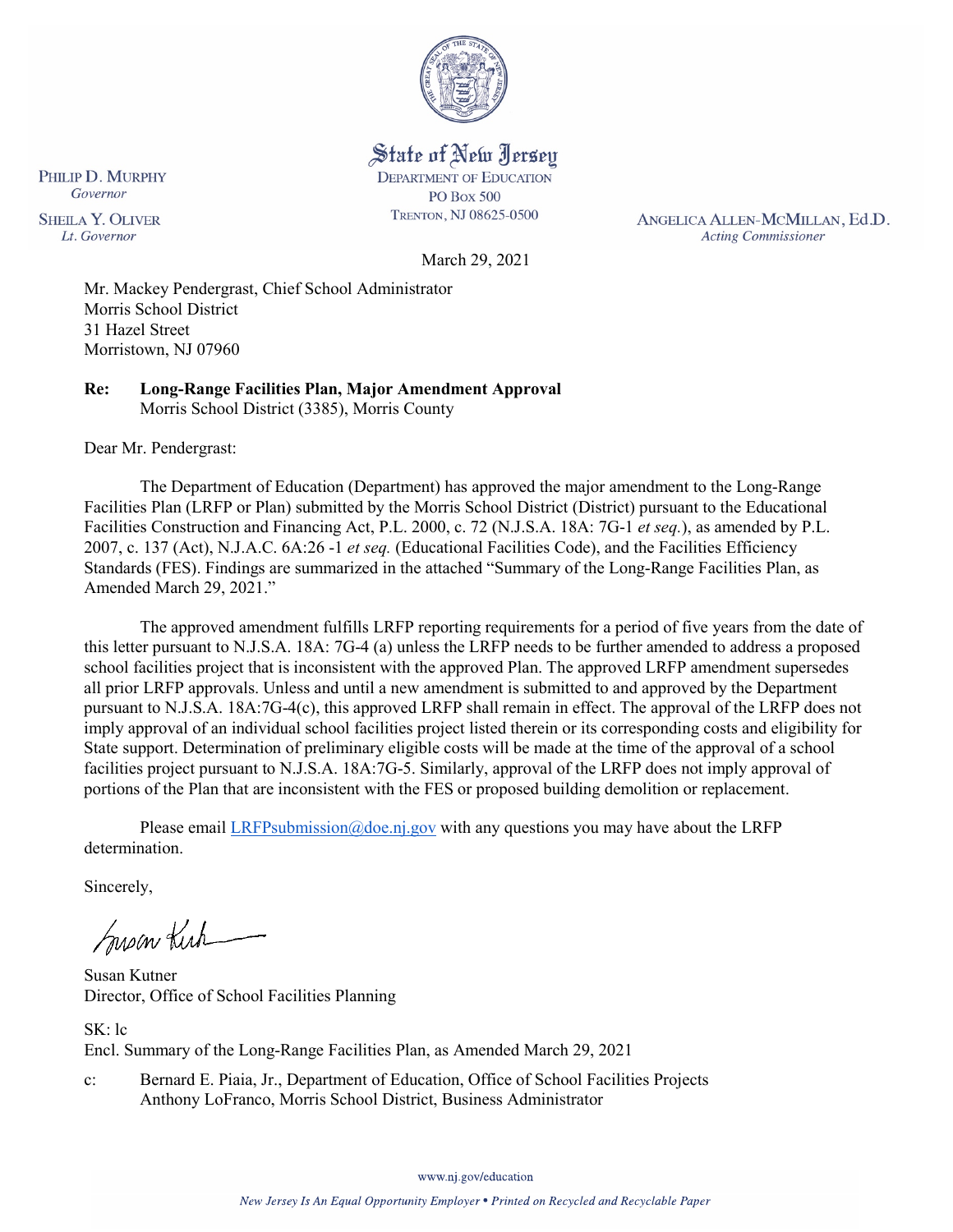

# State of New Jersey **DEPARTMENT OF EDUCATION**

**PO Box 500** TRENTON, NJ 08625-0500

ANGELICA ALLEN-MCMILLAN, Ed.D. **Acting Commissioner** 

Governor **SHEILA Y. OLIVER** Lt. Governor

PHILIP D. MURPHY

March 29, 2021

Mr. Mackey Pendergrast, Chief School Administrator Morris School District 31 Hazel Street Morristown, NJ 07960

**Re: Long-Range Facilities Plan, Major Amendment Approval**  Morris School District (3385), Morris County

Dear Mr. Pendergrast:

The Department of Education (Department) has approved the major amendment to the Long-Range Facilities Plan (LRFP or Plan) submitted by the Morris School District (District) pursuant to the Educational Facilities Construction and Financing Act, P.L. 2000, c. 72 (N.J.S.A. 18A: 7G-1 *et seq.*), as amended by P.L. 2007, c. 137 (Act), N.J.A.C. 6A:26 -1 *et seq.* (Educational Facilities Code), and the Facilities Efficiency Standards (FES). Findings are summarized in the attached "Summary of the Long-Range Facilities Plan, as Amended March 29, 2021."

The approved amendment fulfills LRFP reporting requirements for a period of five years from the date of this letter pursuant to N.J.S.A. 18A: 7G-4 (a) unless the LRFP needs to be further amended to address a proposed school facilities project that is inconsistent with the approved Plan. The approved LRFP amendment supersedes all prior LRFP approvals. Unless and until a new amendment is submitted to and approved by the Department pursuant to N.J.S.A. 18A:7G-4(c), this approved LRFP shall remain in effect. The approval of the LRFP does not imply approval of an individual school facilities project listed therein or its corresponding costs and eligibility for State support. Determination of preliminary eligible costs will be made at the time of the approval of a school facilities project pursuant to N.J.S.A. 18A:7G-5. Similarly, approval of the LRFP does not imply approval of portions of the Plan that are inconsistent with the FES or proposed building demolition or replacement.

Please email [LRFPsubmission@doe.nj.gov](mailto:LRFPsubmission@doe.nj.gov) with any questions you may have about the LRFP determination.

Sincerely,

Susan Kich

Susan Kutner Director, Office of School Facilities Planning

SK: lc Encl. Summary of the Long-Range Facilities Plan, as Amended March 29, 2021

c: Bernard E. Piaia, Jr., Department of Education, Office of School Facilities Projects Anthony LoFranco, Morris School District, Business Administrator

www.nj.gov/education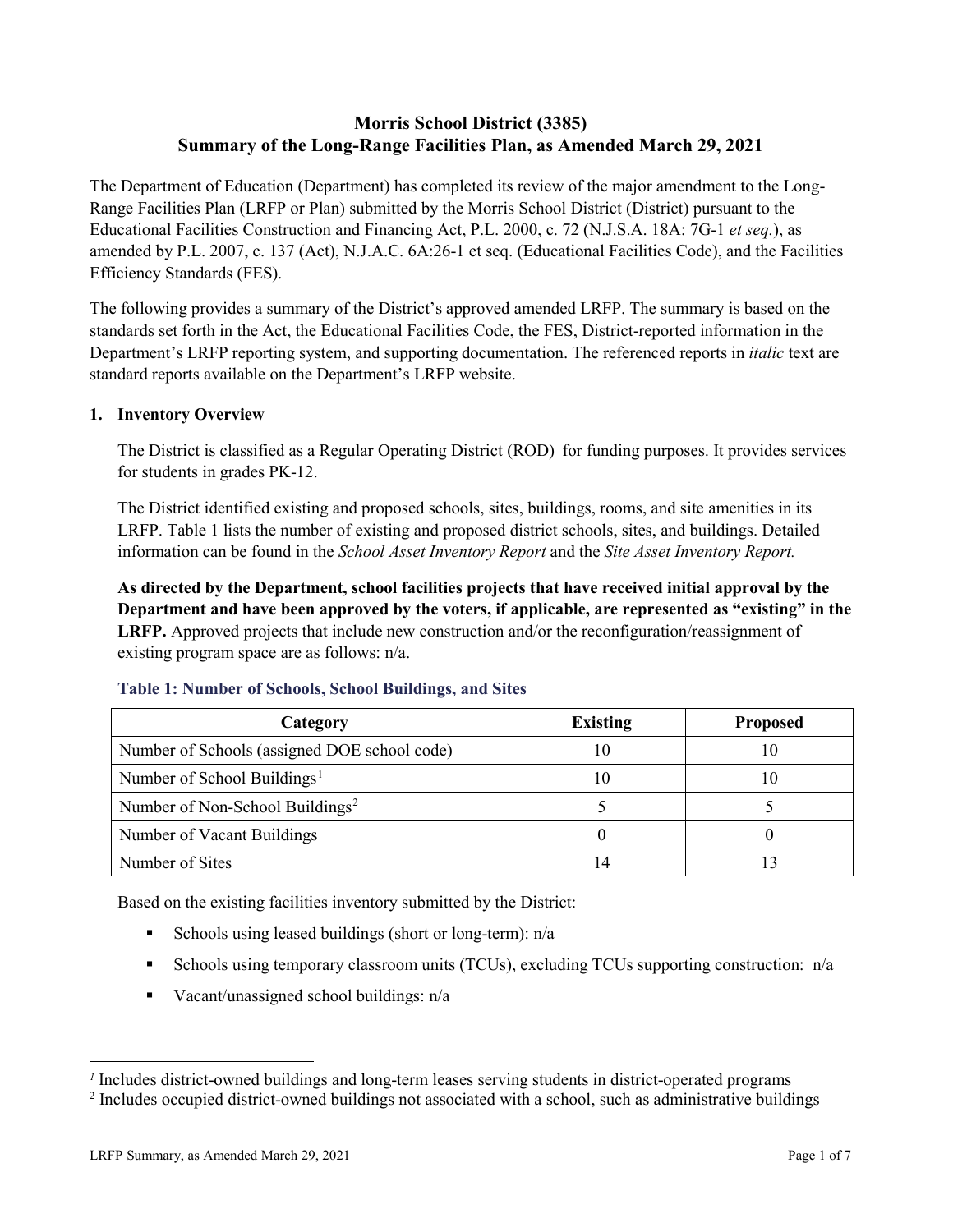# **Morris School District (3385) Summary of the Long-Range Facilities Plan, as Amended March 29, 2021**

The Department of Education (Department) has completed its review of the major amendment to the Long-Range Facilities Plan (LRFP or Plan) submitted by the Morris School District (District) pursuant to the Educational Facilities Construction and Financing Act, P.L. 2000, c. 72 (N.J.S.A. 18A: 7G-1 *et seq.*), as amended by P.L. 2007, c. 137 (Act), N.J.A.C. 6A:26-1 et seq. (Educational Facilities Code), and the Facilities Efficiency Standards (FES).

The following provides a summary of the District's approved amended LRFP. The summary is based on the standards set forth in the Act, the Educational Facilities Code, the FES, District-reported information in the Department's LRFP reporting system, and supporting documentation. The referenced reports in *italic* text are standard reports available on the Department's LRFP website.

#### **1. Inventory Overview**

The District is classified as a Regular Operating District (ROD) for funding purposes. It provides services for students in grades PK-12.

The District identified existing and proposed schools, sites, buildings, rooms, and site amenities in its LRFP. Table 1 lists the number of existing and proposed district schools, sites, and buildings. Detailed information can be found in the *School Asset Inventory Report* and the *Site Asset Inventory Report.*

**As directed by the Department, school facilities projects that have received initial approval by the Department and have been approved by the voters, if applicable, are represented as "existing" in the LRFP.** Approved projects that include new construction and/or the reconfiguration/reassignment of existing program space are as follows: n/a.

| Category                                     | <b>Existing</b> | <b>Proposed</b> |
|----------------------------------------------|-----------------|-----------------|
| Number of Schools (assigned DOE school code) |                 | 10              |
| Number of School Buildings <sup>1</sup>      |                 | ГO              |
| Number of Non-School Buildings <sup>2</sup>  |                 |                 |
| Number of Vacant Buildings                   |                 |                 |
| Number of Sites                              |                 |                 |

#### **Table 1: Number of Schools, School Buildings, and Sites**

Based on the existing facilities inventory submitted by the District:

- Schools using leased buildings (short or long-term):  $n/a$
- Schools using temporary classroom units (TCUs), excluding TCUs supporting construction: n/a
- Vacant/unassigned school buildings:  $n/a$

 $\overline{a}$ 

<span id="page-1-1"></span><span id="page-1-0"></span>*<sup>1</sup>* Includes district-owned buildings and long-term leases serving students in district-operated programs

<sup>&</sup>lt;sup>2</sup> Includes occupied district-owned buildings not associated with a school, such as administrative buildings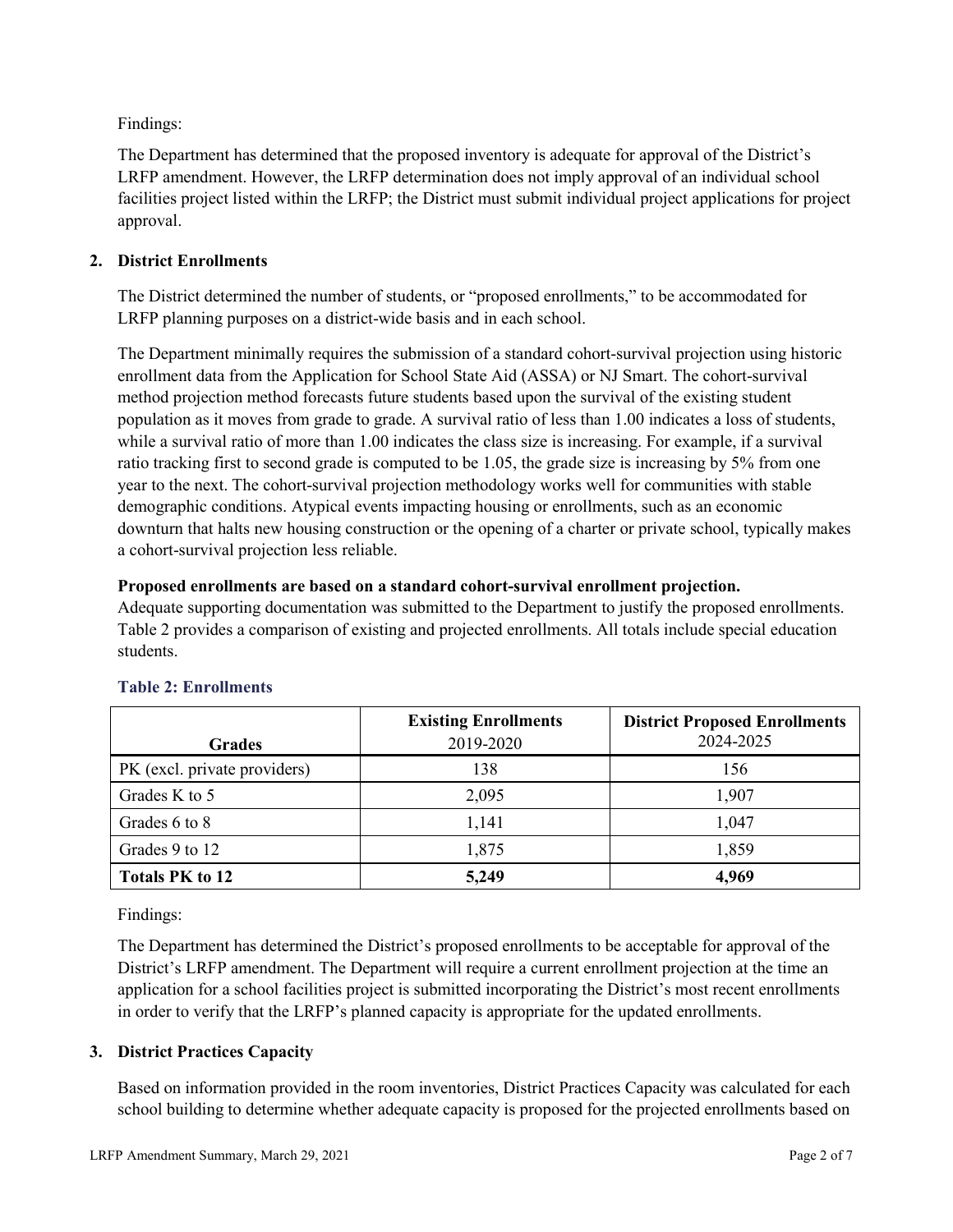Findings:

The Department has determined that the proposed inventory is adequate for approval of the District's LRFP amendment. However, the LRFP determination does not imply approval of an individual school facilities project listed within the LRFP; the District must submit individual project applications for project approval.

## **2. District Enrollments**

The District determined the number of students, or "proposed enrollments," to be accommodated for LRFP planning purposes on a district-wide basis and in each school.

The Department minimally requires the submission of a standard cohort-survival projection using historic enrollment data from the Application for School State Aid (ASSA) or NJ Smart. The cohort-survival method projection method forecasts future students based upon the survival of the existing student population as it moves from grade to grade. A survival ratio of less than 1.00 indicates a loss of students, while a survival ratio of more than 1.00 indicates the class size is increasing. For example, if a survival ratio tracking first to second grade is computed to be 1.05, the grade size is increasing by 5% from one year to the next. The cohort-survival projection methodology works well for communities with stable demographic conditions. Atypical events impacting housing or enrollments, such as an economic downturn that halts new housing construction or the opening of a charter or private school, typically makes a cohort-survival projection less reliable.

#### **Proposed enrollments are based on a standard cohort-survival enrollment projection.**

Adequate supporting documentation was submitted to the Department to justify the proposed enrollments. Table 2 provides a comparison of existing and projected enrollments. All totals include special education students.

|                              | <b>Existing Enrollments</b> | <b>District Proposed Enrollments</b> |
|------------------------------|-----------------------------|--------------------------------------|
| <b>Grades</b>                | 2019-2020                   | 2024-2025                            |
| PK (excl. private providers) | 138                         | 156                                  |
| Grades K to 5                | 2,095                       | 1,907                                |
| Grades 6 to 8                | 1,141                       | 1,047                                |
| Grades 9 to 12               | 1,875                       | 1,859                                |
| <b>Totals PK to 12</b>       | 5,249                       | 4,969                                |

## **Table 2: Enrollments**

Findings:

The Department has determined the District's proposed enrollments to be acceptable for approval of the District's LRFP amendment. The Department will require a current enrollment projection at the time an application for a school facilities project is submitted incorporating the District's most recent enrollments in order to verify that the LRFP's planned capacity is appropriate for the updated enrollments.

## **3. District Practices Capacity**

Based on information provided in the room inventories, District Practices Capacity was calculated for each school building to determine whether adequate capacity is proposed for the projected enrollments based on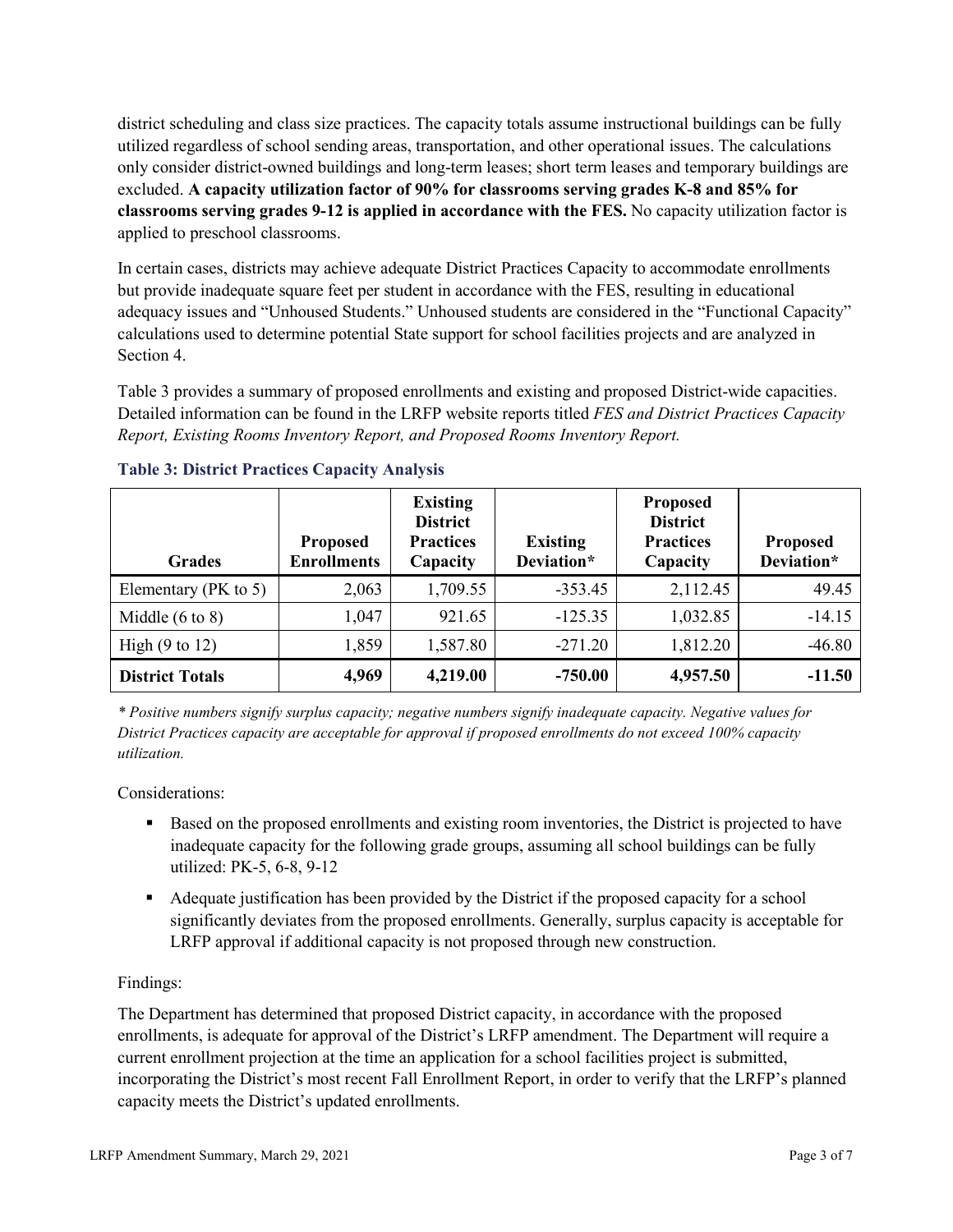district scheduling and class size practices. The capacity totals assume instructional buildings can be fully utilized regardless of school sending areas, transportation, and other operational issues. The calculations only consider district-owned buildings and long-term leases; short term leases and temporary buildings are excluded. **A capacity utilization factor of 90% for classrooms serving grades K-8 and 85% for classrooms serving grades 9-12 is applied in accordance with the FES.** No capacity utilization factor is applied to preschool classrooms.

In certain cases, districts may achieve adequate District Practices Capacity to accommodate enrollments but provide inadequate square feet per student in accordance with the FES, resulting in educational adequacy issues and "Unhoused Students." Unhoused students are considered in the "Functional Capacity" calculations used to determine potential State support for school facilities projects and are analyzed in Section 4.

Table 3 provides a summary of proposed enrollments and existing and proposed District-wide capacities. Detailed information can be found in the LRFP website reports titled *FES and District Practices Capacity Report, Existing Rooms Inventory Report, and Proposed Rooms Inventory Report.*

| <b>Grades</b>              | <b>Proposed</b><br><b>Enrollments</b> | <b>Existing</b><br><b>District</b><br><b>Practices</b><br>Capacity | <b>Existing</b><br>Deviation* | <b>Proposed</b><br><b>District</b><br><b>Practices</b><br>Capacity | <b>Proposed</b><br>Deviation* |
|----------------------------|---------------------------------------|--------------------------------------------------------------------|-------------------------------|--------------------------------------------------------------------|-------------------------------|
| Elementary ( $PK$ to 5)    | 2,063                                 | 1,709.55                                                           | $-353.45$                     | 2,112.45                                                           | 49.45                         |
| Middle $(6 \text{ to } 8)$ | 1,047                                 | 921.65                                                             | $-125.35$                     | 1,032.85                                                           | $-14.15$                      |
| High $(9 \text{ to } 12)$  | 1,859                                 | 1,587.80                                                           | $-271.20$                     | 1,812.20                                                           | $-46.80$                      |
| <b>District Totals</b>     | 4,969                                 | 4,219.00                                                           | $-750.00$                     | 4,957.50                                                           | $-11.50$                      |

## **Table 3: District Practices Capacity Analysis**

*\* Positive numbers signify surplus capacity; negative numbers signify inadequate capacity. Negative values for District Practices capacity are acceptable for approval if proposed enrollments do not exceed 100% capacity utilization.*

Considerations:

- Based on the proposed enrollments and existing room inventories, the District is projected to have inadequate capacity for the following grade groups, assuming all school buildings can be fully utilized: PK-5, 6-8, 9-12
- Adequate justification has been provided by the District if the proposed capacity for a school significantly deviates from the proposed enrollments. Generally, surplus capacity is acceptable for LRFP approval if additional capacity is not proposed through new construction.

## Findings:

The Department has determined that proposed District capacity, in accordance with the proposed enrollments, is adequate for approval of the District's LRFP amendment. The Department will require a current enrollment projection at the time an application for a school facilities project is submitted, incorporating the District's most recent Fall Enrollment Report, in order to verify that the LRFP's planned capacity meets the District's updated enrollments.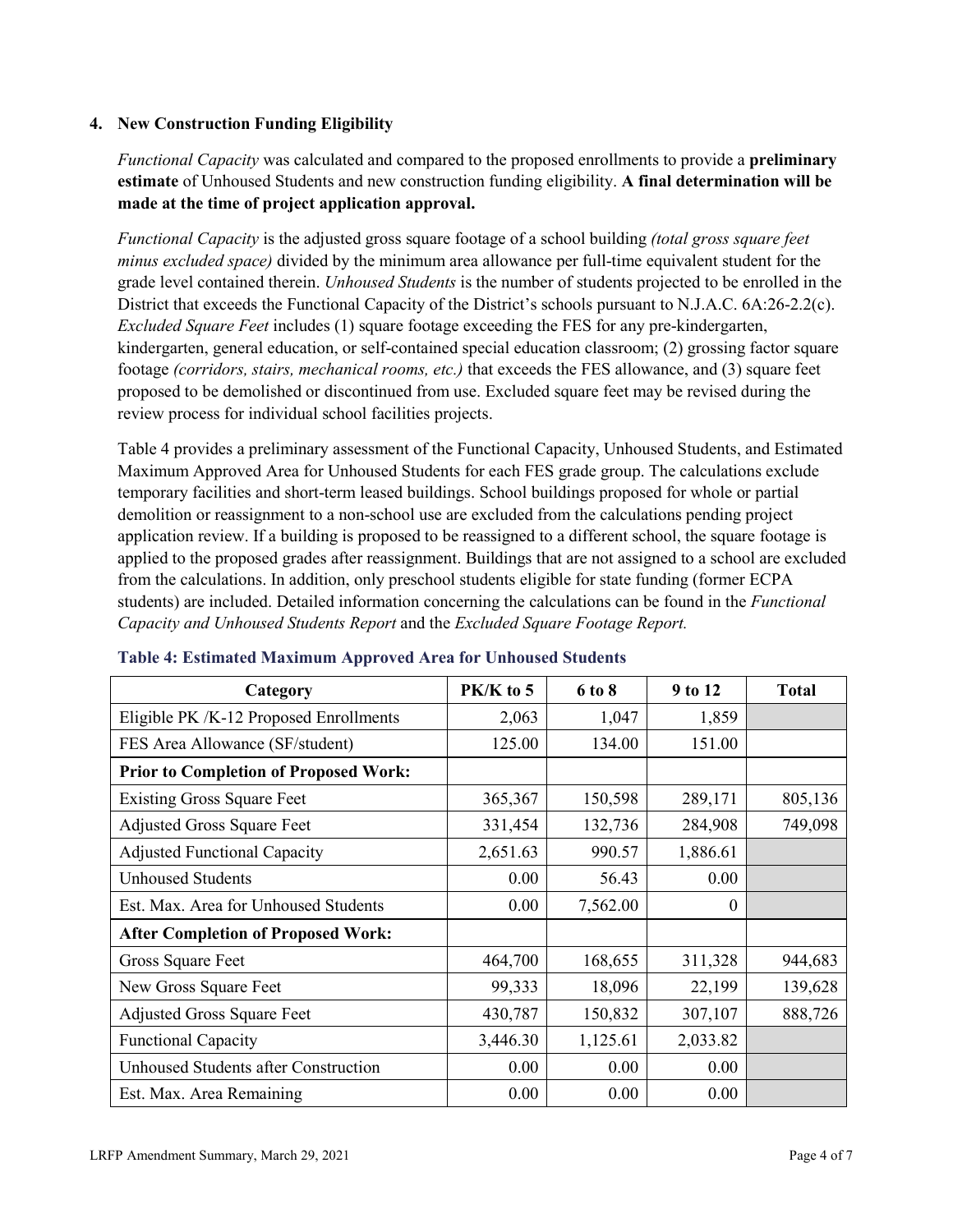## **4. New Construction Funding Eligibility**

*Functional Capacity* was calculated and compared to the proposed enrollments to provide a **preliminary estimate** of Unhoused Students and new construction funding eligibility. **A final determination will be made at the time of project application approval.**

*Functional Capacity* is the adjusted gross square footage of a school building *(total gross square feet minus excluded space)* divided by the minimum area allowance per full-time equivalent student for the grade level contained therein. *Unhoused Students* is the number of students projected to be enrolled in the District that exceeds the Functional Capacity of the District's schools pursuant to N.J.A.C. 6A:26-2.2(c). *Excluded Square Feet* includes (1) square footage exceeding the FES for any pre-kindergarten, kindergarten, general education, or self-contained special education classroom; (2) grossing factor square footage *(corridors, stairs, mechanical rooms, etc.)* that exceeds the FES allowance, and (3) square feet proposed to be demolished or discontinued from use. Excluded square feet may be revised during the review process for individual school facilities projects.

Table 4 provides a preliminary assessment of the Functional Capacity, Unhoused Students, and Estimated Maximum Approved Area for Unhoused Students for each FES grade group. The calculations exclude temporary facilities and short-term leased buildings. School buildings proposed for whole or partial demolition or reassignment to a non-school use are excluded from the calculations pending project application review. If a building is proposed to be reassigned to a different school, the square footage is applied to the proposed grades after reassignment. Buildings that are not assigned to a school are excluded from the calculations. In addition, only preschool students eligible for state funding (former ECPA students) are included. Detailed information concerning the calculations can be found in the *Functional Capacity and Unhoused Students Report* and the *Excluded Square Footage Report.*

| Category                                     | PK/K to 5 | 6 to 8   | 9 to 12  | <b>Total</b> |
|----------------------------------------------|-----------|----------|----------|--------------|
| Eligible PK /K-12 Proposed Enrollments       | 2,063     | 1,047    | 1,859    |              |
| FES Area Allowance (SF/student)              | 125.00    | 134.00   | 151.00   |              |
| <b>Prior to Completion of Proposed Work:</b> |           |          |          |              |
| <b>Existing Gross Square Feet</b>            | 365,367   | 150,598  | 289,171  | 805,136      |
| <b>Adjusted Gross Square Feet</b>            | 331,454   | 132,736  | 284,908  | 749,098      |
| <b>Adjusted Functional Capacity</b>          | 2,651.63  | 990.57   | 1,886.61 |              |
| <b>Unhoused Students</b>                     | 0.00      | 56.43    | 0.00     |              |
| Est. Max. Area for Unhoused Students         | 0.00      | 7,562.00 | $\theta$ |              |
| <b>After Completion of Proposed Work:</b>    |           |          |          |              |
| Gross Square Feet                            | 464,700   | 168,655  | 311,328  | 944,683      |
| New Gross Square Feet                        | 99,333    | 18,096   | 22,199   | 139,628      |
| <b>Adjusted Gross Square Feet</b>            | 430,787   | 150,832  | 307,107  | 888,726      |
| <b>Functional Capacity</b>                   | 3,446.30  | 1,125.61 | 2,033.82 |              |
| <b>Unhoused Students after Construction</b>  | 0.00      | 0.00     | 0.00     |              |
| Est. Max. Area Remaining                     | 0.00      | 0.00     | 0.00     |              |

#### **Table 4: Estimated Maximum Approved Area for Unhoused Students**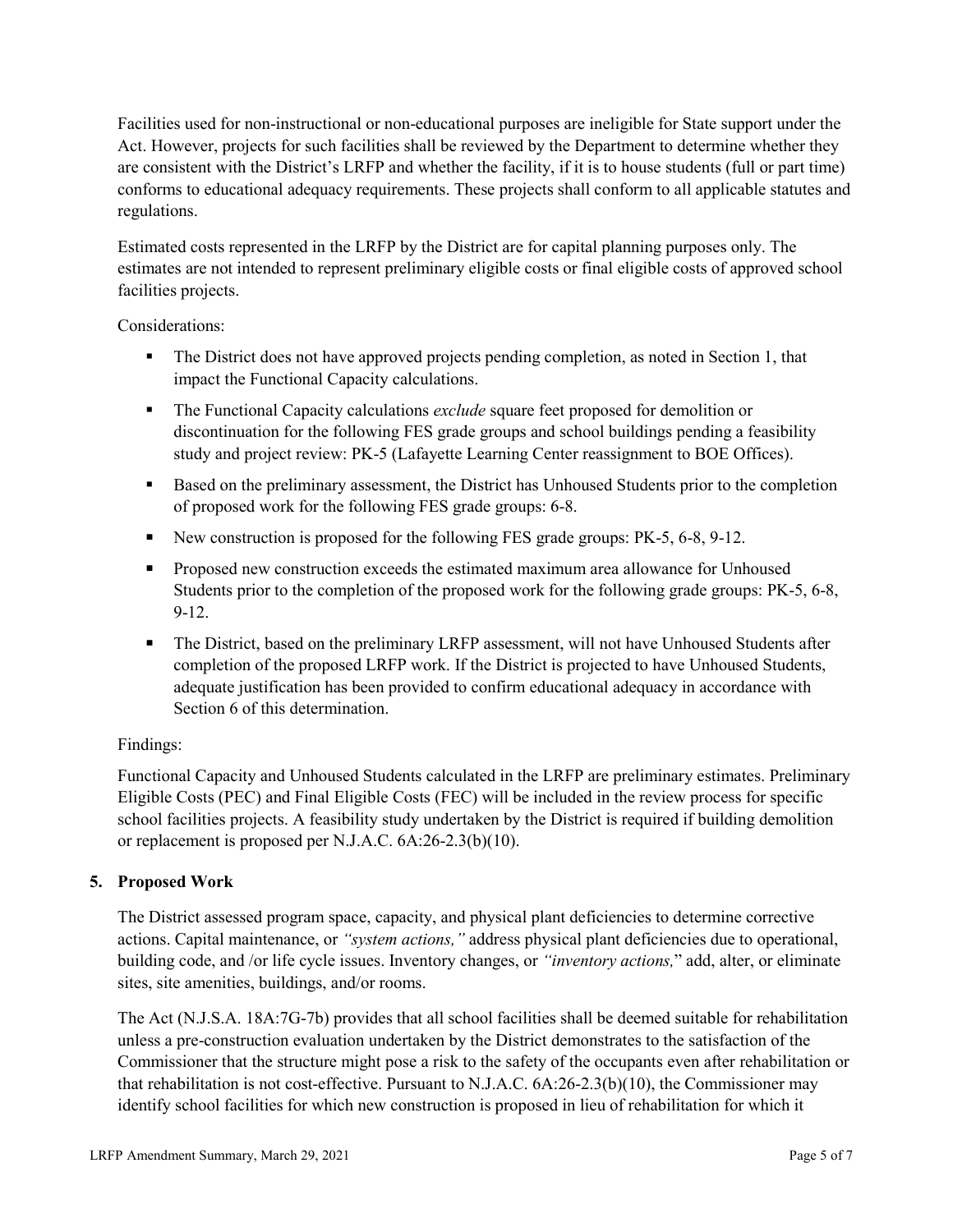Facilities used for non-instructional or non-educational purposes are ineligible for State support under the Act. However, projects for such facilities shall be reviewed by the Department to determine whether they are consistent with the District's LRFP and whether the facility, if it is to house students (full or part time) conforms to educational adequacy requirements. These projects shall conform to all applicable statutes and regulations.

Estimated costs represented in the LRFP by the District are for capital planning purposes only. The estimates are not intended to represent preliminary eligible costs or final eligible costs of approved school facilities projects.

Considerations:

- The District does not have approved projects pending completion, as noted in Section 1, that impact the Functional Capacity calculations.
- The Functional Capacity calculations *exclude* square feet proposed for demolition or discontinuation for the following FES grade groups and school buildings pending a feasibility study and project review: PK-5 (Lafayette Learning Center reassignment to BOE Offices).
- Based on the preliminary assessment, the District has Unhoused Students prior to the completion of proposed work for the following FES grade groups: 6-8.
- New construction is proposed for the following FES grade groups: PK-5, 6-8, 9-12.
- Proposed new construction exceeds the estimated maximum area allowance for Unhoused Students prior to the completion of the proposed work for the following grade groups: PK-5, 6-8, 9-12.
- The District, based on the preliminary LRFP assessment, will not have Unhoused Students after completion of the proposed LRFP work. If the District is projected to have Unhoused Students, adequate justification has been provided to confirm educational adequacy in accordance with Section 6 of this determination.

## Findings:

Functional Capacity and Unhoused Students calculated in the LRFP are preliminary estimates. Preliminary Eligible Costs (PEC) and Final Eligible Costs (FEC) will be included in the review process for specific school facilities projects. A feasibility study undertaken by the District is required if building demolition or replacement is proposed per N.J.A.C. 6A:26-2.3(b)(10).

## **5. Proposed Work**

The District assessed program space, capacity, and physical plant deficiencies to determine corrective actions. Capital maintenance, or *"system actions,"* address physical plant deficiencies due to operational, building code, and /or life cycle issues. Inventory changes, or *"inventory actions,*" add, alter, or eliminate sites, site amenities, buildings, and/or rooms.

The Act (N.J.S.A. 18A:7G-7b) provides that all school facilities shall be deemed suitable for rehabilitation unless a pre-construction evaluation undertaken by the District demonstrates to the satisfaction of the Commissioner that the structure might pose a risk to the safety of the occupants even after rehabilitation or that rehabilitation is not cost-effective. Pursuant to N.J.A.C. 6A:26-2.3(b)(10), the Commissioner may identify school facilities for which new construction is proposed in lieu of rehabilitation for which it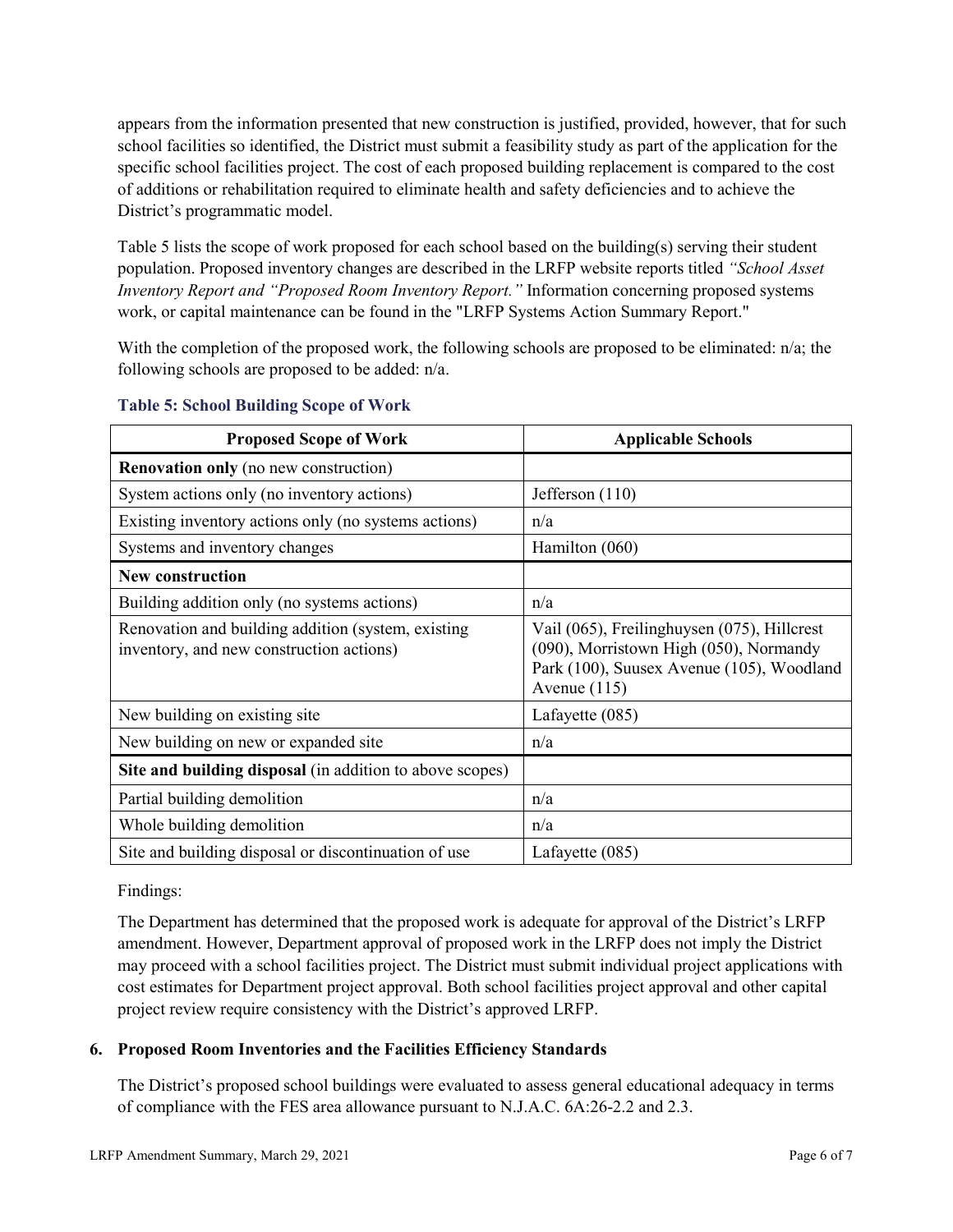appears from the information presented that new construction is justified, provided, however, that for such school facilities so identified, the District must submit a feasibility study as part of the application for the specific school facilities project. The cost of each proposed building replacement is compared to the cost of additions or rehabilitation required to eliminate health and safety deficiencies and to achieve the District's programmatic model.

Table 5 lists the scope of work proposed for each school based on the building(s) serving their student population. Proposed inventory changes are described in the LRFP website reports titled *"School Asset Inventory Report and "Proposed Room Inventory Report."* Information concerning proposed systems work, or capital maintenance can be found in the "LRFP Systems Action Summary Report."

With the completion of the proposed work, the following schools are proposed to be eliminated: n/a; the following schools are proposed to be added: n/a.

| <b>Proposed Scope of Work</b>                                                                  | <b>Applicable Schools</b>                                                                                                                            |
|------------------------------------------------------------------------------------------------|------------------------------------------------------------------------------------------------------------------------------------------------------|
| <b>Renovation only</b> (no new construction)                                                   |                                                                                                                                                      |
| System actions only (no inventory actions)                                                     | Jefferson (110)                                                                                                                                      |
| Existing inventory actions only (no systems actions)                                           | n/a                                                                                                                                                  |
| Systems and inventory changes                                                                  | Hamilton (060)                                                                                                                                       |
| <b>New construction</b>                                                                        |                                                                                                                                                      |
| Building addition only (no systems actions)                                                    | n/a                                                                                                                                                  |
| Renovation and building addition (system, existing<br>inventory, and new construction actions) | Vail (065), Freilinghuysen (075), Hillcrest<br>(090), Morristown High (050), Normandy<br>Park (100), Suusex Avenue (105), Woodland<br>Avenue $(115)$ |
| New building on existing site.                                                                 | Lafayette (085)                                                                                                                                      |
| New building on new or expanded site                                                           | n/a                                                                                                                                                  |
| Site and building disposal (in addition to above scopes)                                       |                                                                                                                                                      |
| Partial building demolition                                                                    | n/a                                                                                                                                                  |
| Whole building demolition                                                                      | n/a                                                                                                                                                  |
| Site and building disposal or discontinuation of use                                           | Lafayette (085)                                                                                                                                      |

#### **Table 5: School Building Scope of Work**

Findings:

The Department has determined that the proposed work is adequate for approval of the District's LRFP amendment. However, Department approval of proposed work in the LRFP does not imply the District may proceed with a school facilities project. The District must submit individual project applications with cost estimates for Department project approval. Both school facilities project approval and other capital project review require consistency with the District's approved LRFP.

## **6. Proposed Room Inventories and the Facilities Efficiency Standards**

The District's proposed school buildings were evaluated to assess general educational adequacy in terms of compliance with the FES area allowance pursuant to N.J.A.C. 6A:26-2.2 and 2.3.